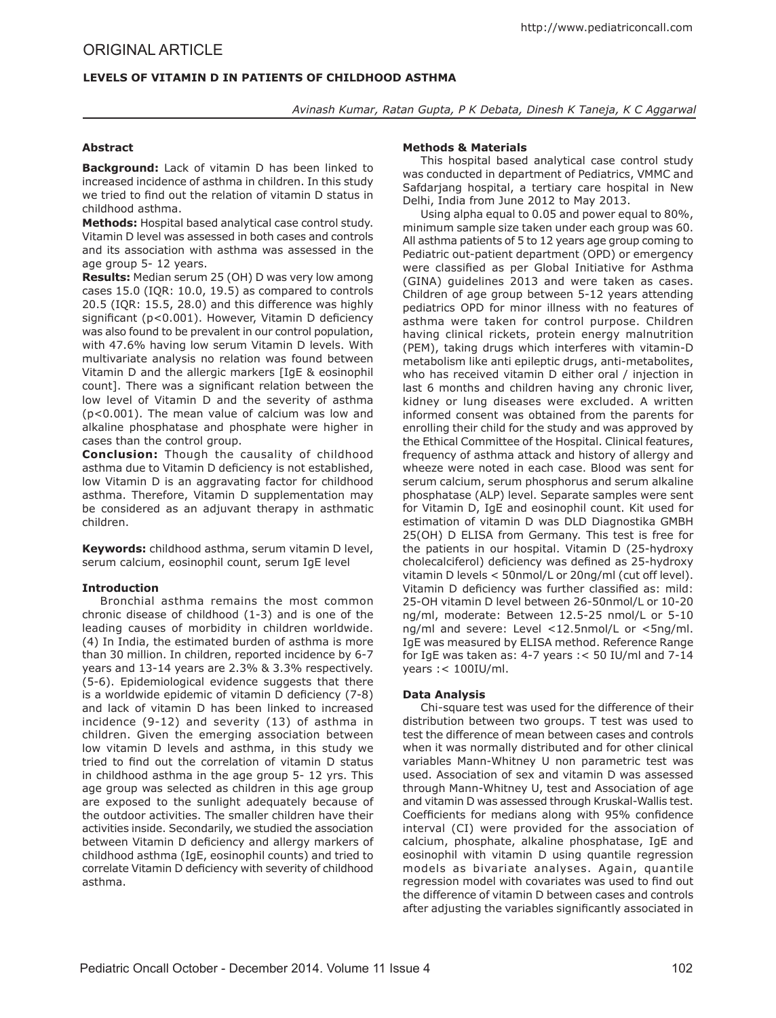# **LEVELS OF VITAMIN D IN PATIENTS OF CHILDHOOD ASTHMA**

*Avinash Kumar, Ratan Gupta, P K Debata, Dinesh K Taneja, K C Aggarwal*

# **Abstract**

**Background:** Lack of vitamin D has been linked to increased incidence of asthma in children. In this study we tried to find out the relation of vitamin D status in childhood asthma.

**Methods:** Hospital based analytical case control study. Vitamin D level was assessed in both cases and controls and its association with asthma was assessed in the age group 5- 12 years.

**Results:** Median serum 25 (OH) D was very low among cases 15.0 (IQR: 10.0, 19.5) as compared to controls 20.5 (IQR: 15.5, 28.0) and this difference was highly significant (p<0.001). However, Vitamin D deficiency was also found to be prevalent in our control population, with 47.6% having low serum Vitamin D levels. With multivariate analysis no relation was found between Vitamin D and the allergic markers [IgE & eosinophil count]. There was a significant relation between the low level of Vitamin D and the severity of asthma (p<0.001). The mean value of calcium was low and alkaline phosphatase and phosphate were higher in cases than the control group.

**Conclusion:** Though the causality of childhood asthma due to Vitamin D deficiency is not established, low Vitamin D is an aggravating factor for childhood asthma. Therefore, Vitamin D supplementation may be considered as an adjuvant therapy in asthmatic children.

**Keywords:** childhood asthma, serum vitamin D level, serum calcium, eosinophil count, serum IgE level

## **Introduction**

Bronchial asthma remains the most common chronic disease of childhood (1-3) and is one of the leading causes of morbidity in children worldwide. (4) In India, the estimated burden of asthma is more than 30 million. In children, reported incidence by 6-7 years and 13-14 years are 2.3% & 3.3% respectively. (5-6). Epidemiological evidence suggests that there is a worldwide epidemic of vitamin D deficiency (7-8) and lack of vitamin D has been linked to increased incidence (9-12) and severity (13) of asthma in children. Given the emerging association between low vitamin D levels and asthma, in this study we tried to find out the correlation of vitamin D status in childhood asthma in the age group 5- 12 yrs. This age group was selected as children in this age group are exposed to the sunlight adequately because of the outdoor activities. The smaller children have their activities inside. Secondarily, we studied the association between Vitamin D deficiency and allergy markers of childhood asthma (IgE, eosinophil counts) and tried to correlate Vitamin D deficiency with severity of childhood asthma.

# **Methods & Materials**

This hospital based analytical case control study was conducted in department of Pediatrics, VMMC and Safdarjang hospital, a tertiary care hospital in New Delhi, India from June 2012 to May 2013.

Using alpha equal to 0.05 and power equal to 80%, minimum sample size taken under each group was 60. All asthma patients of 5 to 12 years age group coming to Pediatric out-patient department (OPD) or emergency were classified as per Global Initiative for Asthma (GINA) guidelines 2013 and were taken as cases. Children of age group between 5-12 years attending pediatrics OPD for minor illness with no features of asthma were taken for control purpose. Children having clinical rickets, protein energy malnutrition (PEM), taking drugs which interferes with vitamin-D metabolism like anti epileptic drugs, anti-metabolites, who has received vitamin D either oral / injection in last 6 months and children having any chronic liver, kidney or lung diseases were excluded. A written informed consent was obtained from the parents for enrolling their child for the study and was approved by the Ethical Committee of the Hospital. Clinical features, frequency of asthma attack and history of allergy and wheeze were noted in each case. Blood was sent for serum calcium, serum phosphorus and serum alkaline phosphatase (ALP) level. Separate samples were sent for Vitamin D, IgE and eosinophil count. Kit used for estimation of vitamin D was DLD Diagnostika GMBH 25(OH) D ELISA from Germany. This test is free for the patients in our hospital. Vitamin D (25-hydroxy cholecalciferol) deficiency was defined as 25-hydroxy vitamin D levels < 50nmol/L or 20ng/ml (cut off level). Vitamin D deficiency was further classified as: mild: 25-OH vitamin D level between 26-50nmol/L or 10-20 ng/ml, moderate: Between 12.5-25 nmol/L or 5-10 ng/ml and severe: Level <12.5nmol/L or <5ng/ml. IgE was measured by ELISA method. Reference Range for IgE was taken as: 4-7 years :< 50 IU/ml and 7-14 years :< 100IU/ml.

## **Data Analysis**

Chi-square test was used for the difference of their distribution between two groups. T test was used to test the difference of mean between cases and controls when it was normally distributed and for other clinical variables Mann-Whitney U non parametric test was used. Association of sex and vitamin D was assessed through Mann-Whitney U, test and Association of age and vitamin D was assessed through Kruskal-Wallis test. Coefficients for medians along with 95% confidence interval (CI) were provided for the association of calcium, phosphate, alkaline phosphatase, IgE and eosinophil with vitamin D using quantile regression models as bivariate analyses. Again, quantile regression model with covariates was used to find out the difference of vitamin D between cases and controls after adjusting the variables significantly associated in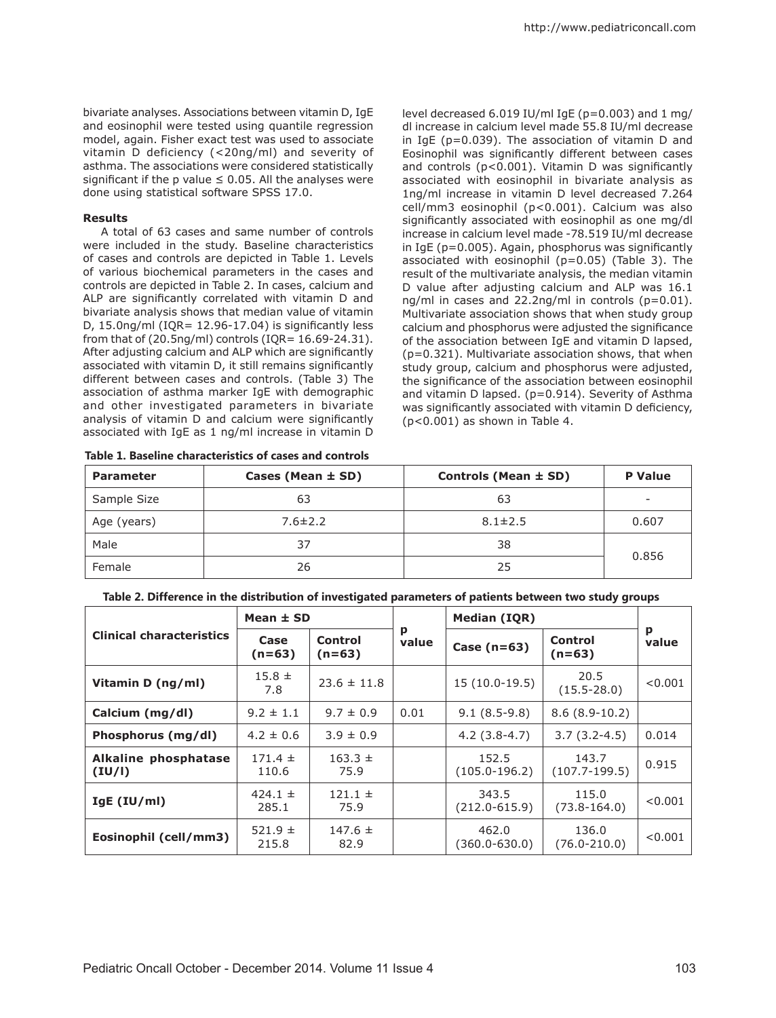bivariate analyses. Associations between vitamin D, IgE and eosinophil were tested using quantile regression model, again. Fisher exact test was used to associate vitamin D deficiency (<20ng/ml) and severity of asthma. The associations were considered statistically significant if the p value  $\leq$  0.05. All the analyses were done using statistical software SPSS 17.0.

### **Results**

A total of 63 cases and same number of controls were included in the study. Baseline characteristics of cases and controls are depicted in Table 1. Levels of various biochemical parameters in the cases and controls are depicted in Table 2. In cases, calcium and ALP are significantly correlated with vitamin D and bivariate analysis shows that median value of vitamin D,  $15.0$ ng/ml (IQR=  $12.96-17.04$ ) is significantly less from that of  $(20.5\text{ng/ml})$  controls  $(1QR=16.69-24.31)$ . After adjusting calcium and ALP which are significantly associated with vitamin D, it still remains significantly different between cases and controls. (Table 3) The association of asthma marker IgE with demographic and other investigated parameters in bivariate analysis of vitamin D and calcium were significantly associated with IgE as 1 ng/ml increase in vitamin D

|  |  |  | Table 1. Baseline characteristics of cases and controls |  |  |
|--|--|--|---------------------------------------------------------|--|--|
|--|--|--|---------------------------------------------------------|--|--|

level decreased 6.019 IU/ml IgE (p=0.003) and 1 mg/ dl increase in calcium level made 55.8 IU/ml decrease in IgE (p=0.039). The association of vitamin D and Eosinophil was significantly different between cases and controls (p<0.001). Vitamin D was significantly associated with eosinophil in bivariate analysis as 1ng/ml increase in vitamin D level decreased 7.264 cell/mm3 eosinophil (p<0.001). Calcium was also significantly associated with eosinophil as one mg/dl increase in calcium level made -78.519 IU/ml decrease in IgE (p=0.005). Again, phosphorus was significantly associated with eosinophil  $(p=0.05)$  (Table 3). The result of the multivariate analysis, the median vitamin D value after adjusting calcium and ALP was 16.1 ng/ml in cases and 22.2ng/ml in controls (p=0.01). Multivariate association shows that when study group calcium and phosphorus were adjusted the significance of the association between IgE and vitamin D lapsed, (p=0.321). Multivariate association shows, that when study group, calcium and phosphorus were adjusted, the significance of the association between eosinophil and vitamin D lapsed. (p=0.914). Severity of Asthma was significantly associated with vitamin D deficiency, (p<0.001) as shown in Table 4.

| <b>Parameter</b> | Cases (Mean ± SD) | Controls (Mean ± SD) | <b>P</b> Value           |  |
|------------------|-------------------|----------------------|--------------------------|--|
| Sample Size      | 63                | 63                   | $\overline{\phantom{a}}$ |  |
| Age (years)      | $7.6 \pm 2.2$     | $8.1 \pm 2.5$        | 0.607                    |  |
| Male             | 37                | 38                   |                          |  |
| Female           | 26                | 25                   | 0.856                    |  |

| Table 2. Difference in the distribution of investigated parameters of patients between two study groups |  |  |
|---------------------------------------------------------------------------------------------------------|--|--|
|                                                                                                         |  |  |

|                                       | Mean $\pm$ SD        |                            |            | <b>Median (IQR)</b>        |                            |            |
|---------------------------------------|----------------------|----------------------------|------------|----------------------------|----------------------------|------------|
| <b>Clinical characteristics</b>       | Case<br>$(n=63)$     | <b>Control</b><br>$(n=63)$ | p<br>value | Case $(n=63)$              | <b>Control</b><br>$(n=63)$ | р<br>value |
| Vitamin D (ng/ml)                     | $15.8 \pm$<br>7.8    | $23.6 \pm 11.8$            |            | 15 (10.0-19.5)             | 20.5<br>$(15.5 - 28.0)$    | < 0.001    |
| Calcium (mg/dl)                       | $9.2 \pm 1.1$        | $9.7 \pm 0.9$              | 0.01       | $9.1(8.5-9.8)$             | $8.6(8.9-10.2)$            |            |
| Phosphorus (mg/dl)                    | $4.2 \pm 0.6$        | $3.9 \pm 0.9$              |            | $4.2(3.8-4.7)$             | $3.7(3.2 - 4.5)$           | 0.014      |
| <b>Alkaline phosphatase</b><br>(IU/I) | $171.4 \pm$<br>110.6 | $163.3 \pm$<br>75.9        |            | 152.5<br>$(105.0-196.2)$   | 143.7<br>$(107.7 - 199.5)$ | 0.915      |
| $IgE$ (IU/ml)                         | 424.1 $\pm$<br>285.1 | $121.1 \pm$<br>75.9        |            | 343.5<br>$(212.0 - 615.9)$ | 115.0<br>$(73.8 - 164.0)$  | < 0.001    |
| Eosinophil (cell/mm3)                 | 521.9 $\pm$<br>215.8 | $147.6 \pm$<br>82.9        |            | 462.0<br>$(360.0 - 630.0)$ | 136.0<br>$(76.0 - 210.0)$  | < 0.001    |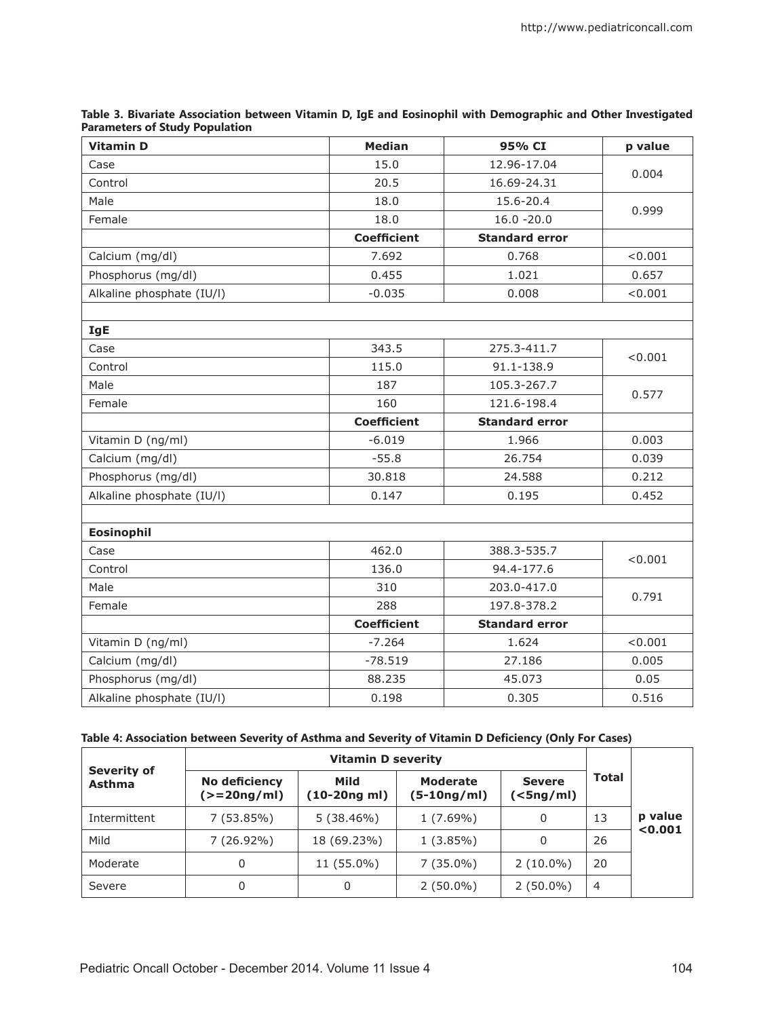| Table 3. Bivariate Association between Vitamin D, IgE and Eosinophil with Demographic and Other Investigated |  |
|--------------------------------------------------------------------------------------------------------------|--|
| <b>Parameters of Study Population</b>                                                                        |  |

| <b>Vitamin D</b>          | <b>Median</b>      | 95% CI                | p value |  |
|---------------------------|--------------------|-----------------------|---------|--|
| Case                      | 15.0               | 12.96-17.04           | 0.004   |  |
| Control                   | 20.5               | 16.69-24.31           |         |  |
| Male                      | 18.0               | 15.6-20.4             | 0.999   |  |
| Female                    | 18.0               | $16.0 - 20.0$         |         |  |
|                           | <b>Coefficient</b> | <b>Standard error</b> |         |  |
| Calcium (mg/dl)           | 7.692              | 0.768                 | < 0.001 |  |
| Phosphorus (mg/dl)        | 0.455              | 1.021                 | 0.657   |  |
| Alkaline phosphate (IU/I) | $-0.035$           | 0.008                 | < 0.001 |  |
|                           |                    |                       |         |  |
| <b>IgE</b>                |                    |                       |         |  |
| Case                      | 343.5              | 275.3-411.7           | < 0.001 |  |
| Control                   | 115.0              | 91.1-138.9            |         |  |
| Male                      | 187                | 105.3-267.7           | 0.577   |  |
| Female                    | 160                | 121.6-198.4           |         |  |
|                           | <b>Coefficient</b> | <b>Standard error</b> |         |  |
| Vitamin D (ng/ml)         | $-6.019$           | 1.966                 | 0.003   |  |
| Calcium (mg/dl)           | $-55.8$            | 26.754                | 0.039   |  |
| Phosphorus (mg/dl)        | 30.818             | 24.588                | 0.212   |  |
| Alkaline phosphate (IU/l) | 0.147              | 0.195                 | 0.452   |  |
|                           |                    |                       |         |  |
| <b>Eosinophil</b>         |                    |                       |         |  |
| Case                      | 462.0              | 388.3-535.7           |         |  |
| Control                   | 136.0              | 94.4-177.6            | < 0.001 |  |
| Male                      | 310                | 203.0-417.0           |         |  |
| Female                    | 288                | 197.8-378.2           | 0.791   |  |
|                           | <b>Coefficient</b> | <b>Standard error</b> |         |  |
| Vitamin D (ng/ml)         | $-7.264$           | 1.624                 | < 0.001 |  |
| Calcium (mg/dl)           | $-78.519$          | 27.186                | 0.005   |  |
| Phosphorus (mg/dl)        | 88.235             | 45.073                | 0.05    |  |
| Alkaline phosphate (IU/I) | 0.198              | 0.305                 | 0.516   |  |

# **Table 4: Association between Severity of Asthma and Severity of Vitamin D Deficiency (Only For Cases)**

| <b>Severity of</b><br>Asthma | <b>Vitamin D severity</b>      |                        |                                |                                  |                |         |
|------------------------------|--------------------------------|------------------------|--------------------------------|----------------------------------|----------------|---------|
|                              | No deficiency<br>$(>=20nq/ml)$ | Mild<br>$(10-20nq$ ml) | <b>Moderate</b><br>(5-10ng/ml) | <b>Severe</b><br>$(<$ 5ng/ml $)$ | <b>Total</b>   |         |
| Intermittent                 | 7(53.85%)                      | 5(38.46%)              | $1(7.69\%)$                    | 0                                | 13             | p value |
| Mild                         | $7(26.92\%)$                   | 18 (69.23%)            | $1(3.85\%)$                    | 0                                | 26             | < 0.001 |
| Moderate                     | 0                              | 11 (55.0%)             | $7(35.0\%)$                    | $2(10.0\%)$                      | 20             |         |
| Severe                       | 0                              | 0                      | $2(50.0\%)$                    | $2(50.0\%)$                      | $\overline{4}$ |         |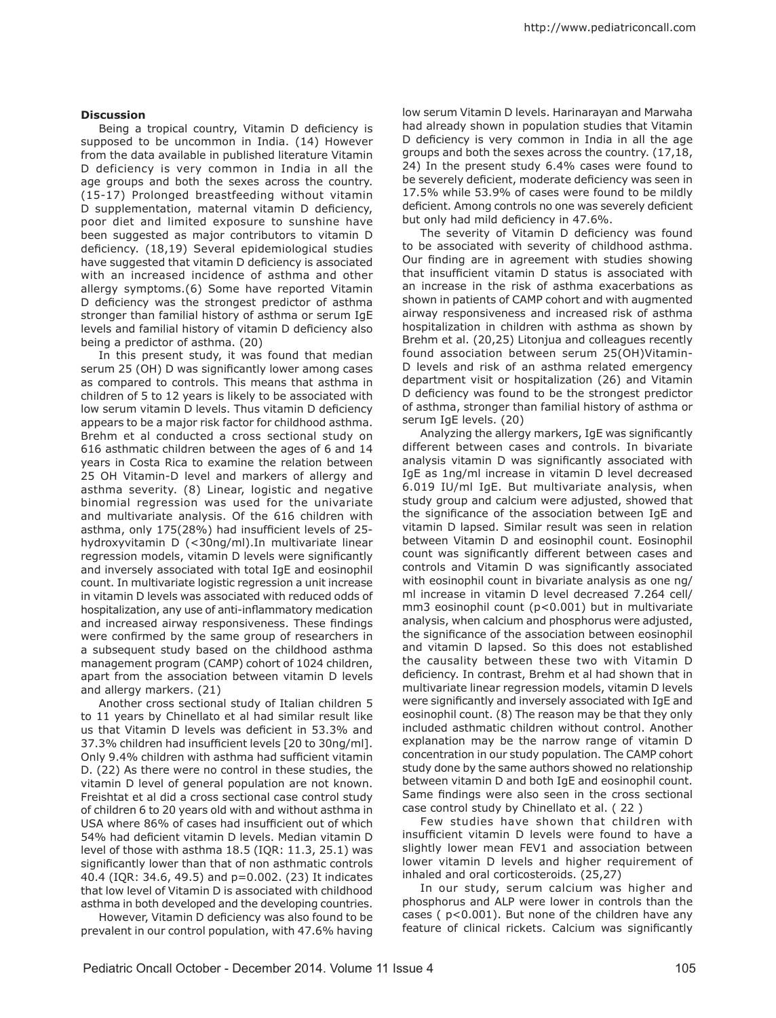## **Discussion**

Being a tropical country, Vitamin D deficiency is supposed to be uncommon in India. (14) However from the data available in published literature Vitamin D deficiency is very common in India in all the age groups and both the sexes across the country. (15-17) Prolonged breastfeeding without vitamin D supplementation, maternal vitamin D deficiency, poor diet and limited exposure to sunshine have been suggested as major contributors to vitamin D deficiency. (18,19) Several epidemiological studies have suggested that vitamin D deficiency is associated with an increased incidence of asthma and other allergy symptoms.(6) Some have reported Vitamin D deficiency was the strongest predictor of asthma stronger than familial history of asthma or serum IgE levels and familial history of vitamin D deficiency also being a predictor of asthma. (20)

In this present study, it was found that median serum 25 (OH) D was significantly lower among cases as compared to controls. This means that asthma in children of 5 to 12 years is likely to be associated with low serum vitamin D levels. Thus vitamin D deficiency appears to be a major risk factor for childhood asthma. Brehm et al conducted a cross sectional study on 616 asthmatic children between the ages of 6 and 14 years in Costa Rica to examine the relation between 25 OH Vitamin-D level and markers of allergy and asthma severity. (8) Linear, logistic and negative binomial regression was used for the univariate and multivariate analysis. Of the 616 children with asthma, only 175(28%) had insufficient levels of 25 hydroxyvitamin D (<30ng/ml).In multivariate linear regression models, vitamin D levels were significantly and inversely associated with total IgE and eosinophil count. In multivariate logistic regression a unit increase in vitamin D levels was associated with reduced odds of hospitalization, any use of anti-inflammatory medication and increased airway responsiveness. These findings were confirmed by the same group of researchers in a subsequent study based on the childhood asthma management program (CAMP) cohort of 1024 children, apart from the association between vitamin D levels and allergy markers. (21)

Another cross sectional study of Italian children 5 to 11 years by Chinellato et al had similar result like us that Vitamin D levels was deficient in 53.3% and 37.3% children had insufficient levels [20 to 30ng/ml]. Only 9.4% children with asthma had sufficient vitamin D. (22) As there were no control in these studies, the vitamin D level of general population are not known. Freishtat et al did a cross sectional case control study of children 6 to 20 years old with and without asthma in USA where 86% of cases had insufficient out of which 54% had deficient vitamin D levels. Median vitamin D level of those with asthma 18.5 (IQR: 11.3, 25.1) was significantly lower than that of non asthmatic controls 40.4 (IQR: 34.6, 49.5) and p=0.002. (23) It indicates that low level of Vitamin D is associated with childhood asthma in both developed and the developing countries.

However, Vitamin D deficiency was also found to be prevalent in our control population, with 47.6% having low serum Vitamin D levels. Harinarayan and Marwaha had already shown in population studies that Vitamin D deficiency is very common in India in all the age groups and both the sexes across the country. (17,18, 24) In the present study 6.4% cases were found to be severely deficient, moderate deficiency was seen in 17.5% while 53.9% of cases were found to be mildly deficient. Among controls no one was severely deficient but only had mild deficiency in 47.6%.

The severity of Vitamin D deficiency was found to be associated with severity of childhood asthma. Our finding are in agreement with studies showing that insufficient vitamin D status is associated with an increase in the risk of asthma exacerbations as shown in patients of CAMP cohort and with augmented airway responsiveness and increased risk of asthma hospitalization in children with asthma as shown by Brehm et al. (20,25) Litonjua and colleagues recently found association between serum 25(OH)Vitamin-D levels and risk of an asthma related emergency department visit or hospitalization (26) and Vitamin D deficiency was found to be the strongest predictor of asthma, stronger than familial history of asthma or serum IgE levels. (20)

Analyzing the allergy markers, IgE was significantly different between cases and controls. In bivariate analysis vitamin D was significantly associated with IgE as 1ng/ml increase in vitamin D level decreased 6.019 IU/ml IgE. But multivariate analysis, when study group and calcium were adjusted, showed that the significance of the association between IgE and vitamin D lapsed. Similar result was seen in relation between Vitamin D and eosinophil count. Eosinophil count was significantly different between cases and controls and Vitamin D was significantly associated with eosinophil count in bivariate analysis as one ng/ ml increase in vitamin D level decreased 7.264 cell/ mm3 eosinophil count (p<0.001) but in multivariate analysis, when calcium and phosphorus were adjusted, the significance of the association between eosinophil and vitamin D lapsed. So this does not established the causality between these two with Vitamin D deficiency. In contrast, Brehm et al had shown that in multivariate linear regression models, vitamin D levels were significantly and inversely associated with IgE and eosinophil count. (8) The reason may be that they only included asthmatic children without control. Another explanation may be the narrow range of vitamin D concentration in our study population. The CAMP cohort study done by the same authors showed no relationship between vitamin D and both IgE and eosinophil count. Same findings were also seen in the cross sectional case control study by Chinellato et al. ( 22 )

Few studies have shown that children with insufficient vitamin D levels were found to have a slightly lower mean FEV1 and association between lower vitamin D levels and higher requirement of inhaled and oral corticosteroids. (25,27)

In our study, serum calcium was higher and phosphorus and ALP were lower in controls than the cases ( p<0.001). But none of the children have any feature of clinical rickets. Calcium was significantly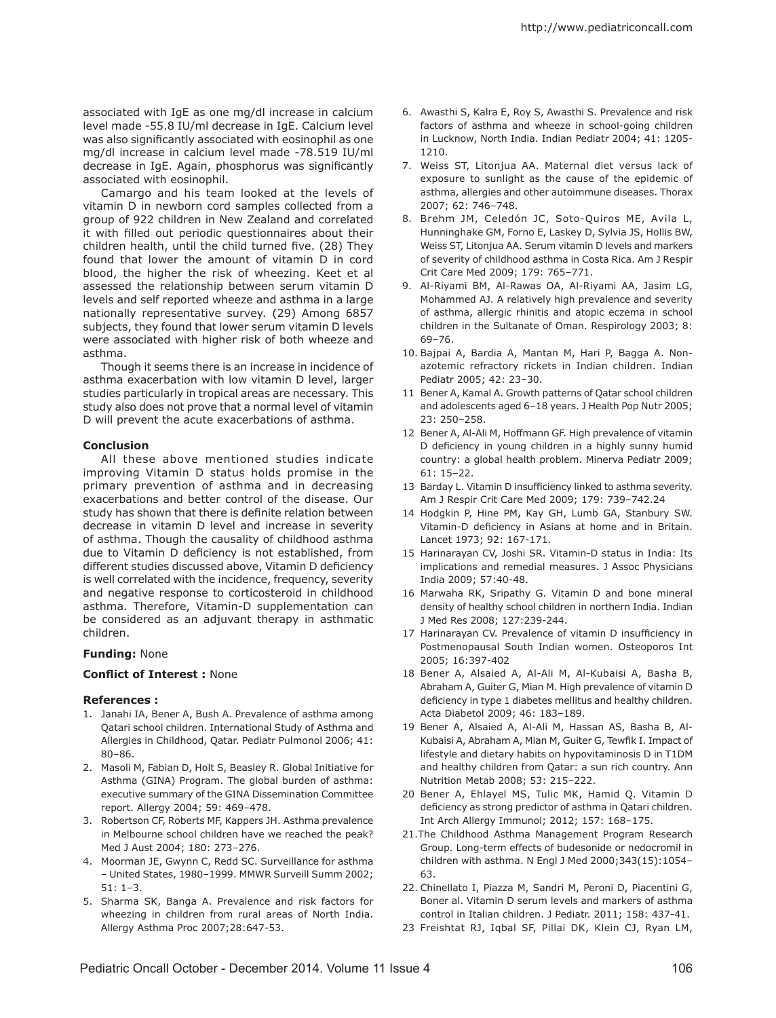associated with IgE as one mg/dl increase in calcium level made -55.8 IU/ml decrease in IgE. Calcium level was also significantly associated with eosinophil as one mg/dl increase in calcium level made -78.519 IU/ml decrease in IgE. Again, phosphorus was significantly associated with eosinophil.

Camargo and his team looked at the levels of vitamin D in newborn cord samples collected from a group of 922 children in New Zealand and correlated it with filled out periodic questionnaires about their children health, until the child turned five. (28) They found that lower the amount of vitamin D in cord blood, the higher the risk of wheezing. Keet et al assessed the relationship between serum vitamin D levels and self reported wheeze and asthma in a large nationally representative survey. (29) Among 6857 subjects, they found that lower serum vitamin D levels were associated with higher risk of both wheeze and asthma.

Though it seems there is an increase in incidence of asthma exacerbation with low vitamin D level, larger studies particularly in tropical areas are necessary. This study also does not prove that a normal level of vitamin D will prevent the acute exacerbations of asthma.

## **Conclusion**

All these above mentioned studies indicate improving Vitamin D status holds promise in the primary prevention of asthma and in decreasing exacerbations and better control of the disease. Our study has shown that there is definite relation between decrease in vitamin D level and increase in severity of asthma. Though the causality of childhood asthma due to Vitamin D deficiency is not established, from different studies discussed above, Vitamin D deficiency is well correlated with the incidence, frequency, severity and negative response to corticosteroid in childhood asthma. Therefore, Vitamin-D supplementation can be considered as an adjuvant therapy in asthmatic children.

### **Funding:** None

### **Conflict of Interest :** None

### **References :**

- 1. Janahi IA, Bener A, Bush A. Prevalence of asthma among Qatari school children. International Study of Asthma and Allergies in Childhood, Qatar. Pediatr Pulmonol 2006; 41: 80–86.
- 2. Masoli M, Fabian D, Holt S, Beasley R. Global Initiative for Asthma (GINA) Program. The global burden of asthma: executive summary of the GINA Dissemination Committee report. Allergy 2004; 59: 469–478.
- 3. Robertson CF, Roberts MF, Kappers JH. Asthma prevalence in Melbourne school children have we reached the peak? Med J Aust 2004; 180: 273–276.
- 4. Moorman JE, Gwynn C, Redd SC. Surveillance for asthma – United States, 1980–1999. MMWR Surveill Summ 2002; 51: 1–3.
- 5. Sharma SK, Banga A. Prevalence and risk factors for wheezing in children from rural areas of North India. Allergy Asthma Proc 2007;28:647-53.
- 6. Awasthi S, Kalra E, Roy S, Awasthi S. Prevalence and risk factors of asthma and wheeze in school-going children in Lucknow, North India. Indian Pediatr 2004; 41: 1205- 1210.
- 7. Weiss ST, Litonjua AA. Maternal diet versus lack of exposure to sunlight as the cause of the epidemic of asthma, allergies and other autoimmune diseases. Thorax 2007; 62: 746–748.
- 8. Brehm JM, Celedón JC, Soto-Quiros ME, Avila L, Hunninghake GM, Forno E, Laskey D, Sylvia JS, Hollis BW, Weiss ST, Litonjua AA. Serum vitamin D levels and markers of severity of childhood asthma in Costa Rica. Am J Respir Crit Care Med 2009; 179: 765–771.
- 9. Al-Riyami BM, Al-Rawas OA, Al-Riyami AA, Jasim LG, Mohammed AJ. A relatively high prevalence and severity of asthma, allergic rhinitis and atopic eczema in school children in the Sultanate of Oman. Respirology 2003; 8: 69–76.
- 10. Bajpai A, Bardia A, Mantan M, Hari P, Bagga A. Nonazotemic refractory rickets in Indian children. Indian Pediatr 2005; 42: 23–30.
- 11 Bener A, Kamal A. Growth patterns of Qatar school children and adolescents aged 6–18 years. J Health Pop Nutr 2005; 23: 250–258.
- 12 Bener A, Al-Ali M, Hoffmann GF. High prevalence of vitamin D deficiency in young children in a highly sunny humid country: a global health problem. Minerva Pediatr 2009; 61: 15–22.
- 13 Barday L. Vitamin D insufficiency linked to asthma severity. Am J Respir Crit Care Med 2009; 179: 739–742.24
- 14 Hodgkin P, Hine PM, Kay GH, Lumb GA, Stanbury SW. Vitamin-D deficiency in Asians at home and in Britain. Lancet 1973; 92: 167-171.
- 15 Harinarayan CV, Joshi SR. Vitamin-D status in India: Its implications and remedial measures. J Assoc Physicians India 2009; 57:40-48.
- 16 Marwaha RK, Sripathy G. Vitamin D and bone mineral density of healthy school children in northern India. Indian J Med Res 2008; 127:239-244.
- 17 Harinarayan CV. Prevalence of vitamin D insufficiency in Postmenopausal South Indian women. Osteoporos Int 2005; 16:397-402
- 18 Bener A, Alsaied A, Al-Ali M, Al-Kubaisi A, Basha B, Abraham A, Guiter G, Mian M. High prevalence of vitamin D deficiency in type 1 diabetes mellitus and healthy children. Acta Diabetol 2009; 46: 183–189.
- 19 Bener A, Alsaied A, Al-Ali M, Hassan AS, Basha B, Al-Kubaisi A, Abraham A, Mian M, Guiter G, Tewfik I. Impact of lifestyle and dietary habits on hypovitaminosis D in T1DM and healthy children from Qatar: a sun rich country. Ann Nutrition Metab 2008; 53: 215–222.
- 20 Bener A, Ehlayel MS, Tulic MK, Hamid Q. Vitamin D deficiency as strong predictor of asthma in Qatari children. Int Arch Allergy Immunol; 2012; 157: 168–175.
- 21.The Childhood Asthma Management Program Research Group. Long-term effects of budesonide or nedocromil in children with asthma. N Engl J Med 2000;343(15):1054– 63.
- 22. Chinellato I, Piazza M, Sandri M, Peroni D, Piacentini G, Boner al. Vitamin D serum levels and markers of asthma control in Italian children. J Pediatr. 2011; 158: 437-41.
- 23 Freishtat RJ, Iqbal SF, Pillai DK, Klein CJ, Ryan LM,